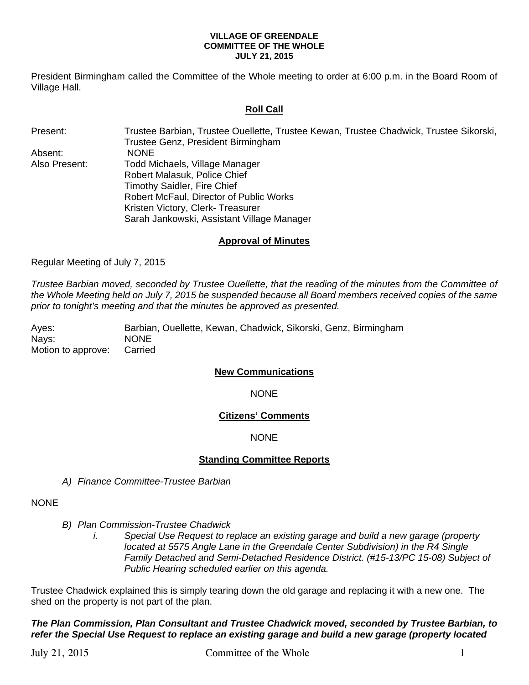#### **VILLAGE OF GREENDALE COMMITTEE OF THE WHOLE JULY 21, 2015**

President Birmingham called the Committee of the Whole meeting to order at 6:00 p.m. in the Board Room of Village Hall.

## **Roll Call**

Present: Trustee Barbian, Trustee Ouellette, Trustee Kewan, Trustee Chadwick, Trustee Sikorski, Trustee Genz, President Birmingham Absent: NONE Also Present: Todd Michaels, Village Manager Robert Malasuk, Police Chief Timothy Saidler, Fire Chief Robert McFaul, Director of Public Works Kristen Victory, Clerk- Treasurer Sarah Jankowski, Assistant Village Manager

## **Approval of Minutes**

Regular Meeting of July 7, 2015

*Trustee Barbian moved, seconded by Trustee Ouellette, that the reading of the minutes from the Committee of the Whole Meeting held on July 7, 2015 be suspended because all Board members received copies of the same prior to tonight's meeting and that the minutes be approved as presented.* 

Ayes: Barbian, Ouellette, Kewan, Chadwick, Sikorski, Genz, Birmingham Nays: NONE Motion to approve: Carried

#### **New Communications**

NONE

## **Citizens' Comments**

#### NONE

## **Standing Committee Reports**

*A) Finance Committee-Trustee Barbian* 

#### NONE

*B) Plan Commission-Trustee Chadwick* 

*i. Special Use Request to replace an existing garage and build a new garage (property located at 5575 Angle Lane in the Greendale Center Subdivision) in the R4 Single Family Detached and Semi-Detached Residence District. (#15-13/PC 15-08) Subject of Public Hearing scheduled earlier on this agenda.* 

Trustee Chadwick explained this is simply tearing down the old garage and replacing it with a new one. The shed on the property is not part of the plan.

*The Plan Commission, Plan Consultant and Trustee Chadwick moved, seconded by Trustee Barbian, to refer the Special Use Request to replace an existing garage and build a new garage (property located*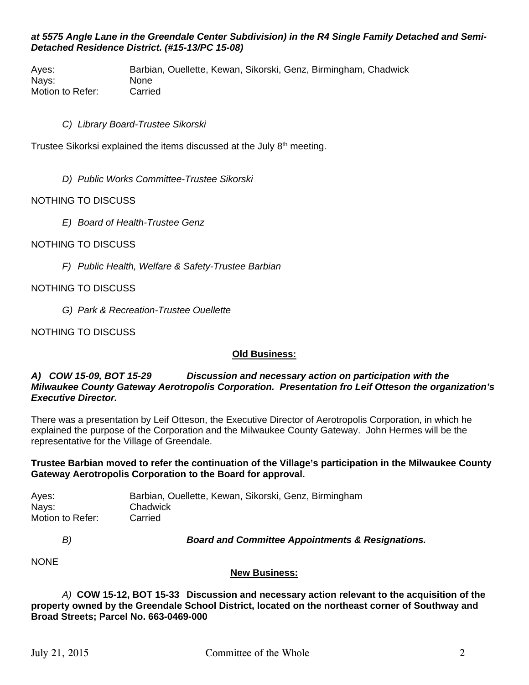## *at 5575 Angle Lane in the Greendale Center Subdivision) in the R4 Single Family Detached and Semi-Detached Residence District. (#15-13/PC 15-08)*

Ayes: Barbian, Ouellette, Kewan, Sikorski, Genz, Birmingham, Chadwick Nays: None Motion to Refer: Carried

## *C) Library Board-Trustee Sikorski*

Trustee Sikorksi explained the items discussed at the July 8th meeting.

*D) Public Works Committee-Trustee Sikorski* 

## NOTHING TO DISCUSS

*E) Board of Health-Trustee Genz* 

## NOTHING TO DISCUSS

*F) Public Health, Welfare & Safety-Trustee Barbian* 

## NOTHING TO DISCUSS

*G) Park & Recreation-Trustee Ouellette* 

NOTHING TO DISCUSS

#### **Old Business:**

### *A) COW 15-09, BOT 15-29 Discussion and necessary action on participation with the Milwaukee County Gateway Aerotropolis Corporation. Presentation fro Leif Otteson the organization's Executive Director.*

There was a presentation by Leif Otteson, the Executive Director of Aerotropolis Corporation, in which he explained the purpose of the Corporation and the Milwaukee County Gateway. John Hermes will be the representative for the Village of Greendale.

## **Trustee Barbian moved to refer the continuation of the Village's participation in the Milwaukee County Gateway Aerotropolis Corporation to the Board for approval.**

| Ayes:            | Barbian, Ouellette, Kewan, Sikorski, Genz, Birmingham |
|------------------|-------------------------------------------------------|
| Nays:            | Chadwick                                              |
| Motion to Refer: | Carried                                               |

*B) Board and Committee Appointments & Resignations.* 

**NONE** 

#### **New Business:**

*A)* **COW 15-12, BOT 15-33 Discussion and necessary action relevant to the acquisition of the property owned by the Greendale School District, located on the northeast corner of Southway and Broad Streets; Parcel No. 663-0469-000**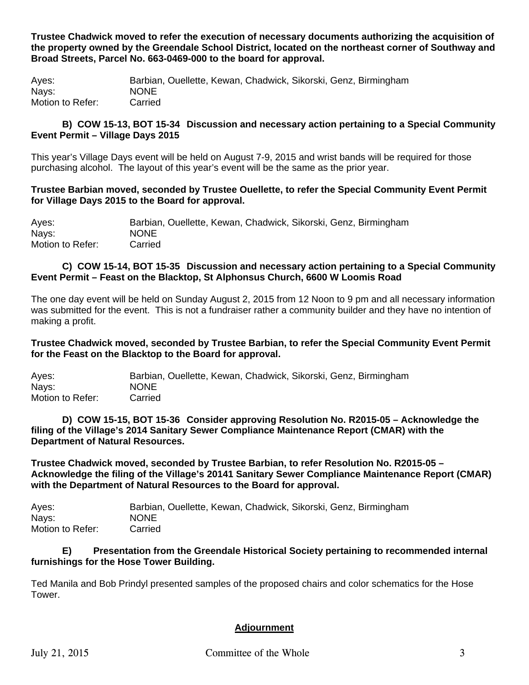**Trustee Chadwick moved to refer the execution of necessary documents authorizing the acquisition of the property owned by the Greendale School District, located on the northeast corner of Southway and Broad Streets, Parcel No. 663-0469-000 to the board for approval.** 

Ayes: Barbian, Ouellette, Kewan, Chadwick, Sikorski, Genz, Birmingham Nays: NONE Motion to Refer: Carried

## **B) COW 15-13, BOT 15-34 Discussion and necessary action pertaining to a Special Community Event Permit – Village Days 2015**

This year's Village Days event will be held on August 7-9, 2015 and wrist bands will be required for those purchasing alcohol. The layout of this year's event will be the same as the prior year.

## **Trustee Barbian moved, seconded by Trustee Ouellette, to refer the Special Community Event Permit for Village Days 2015 to the Board for approval.**

Ayes: Barbian, Ouellette, Kewan, Chadwick, Sikorski, Genz, Birmingham Nays: NONE Motion to Refer: Carried

## **C) COW 15-14, BOT 15-35 Discussion and necessary action pertaining to a Special Community Event Permit – Feast on the Blacktop, St Alphonsus Church, 6600 W Loomis Road**

The one day event will be held on Sunday August 2, 2015 from 12 Noon to 9 pm and all necessary information was submitted for the event. This is not a fundraiser rather a community builder and they have no intention of making a profit.

**Trustee Chadwick moved, seconded by Trustee Barbian, to refer the Special Community Event Permit for the Feast on the Blacktop to the Board for approval.** 

| Ayes:            | Barbian, Ouellette, Kewan, Chadwick, Sikorski, Genz, Birmingham |
|------------------|-----------------------------------------------------------------|
| Navs:            | <b>NONE</b>                                                     |
| Motion to Refer: | Carried                                                         |

**D) COW 15-15, BOT 15-36 Consider approving Resolution No. R2015-05 – Acknowledge the filing of the Village's 2014 Sanitary Sewer Compliance Maintenance Report (CMAR) with the Department of Natural Resources.** 

**Trustee Chadwick moved, seconded by Trustee Barbian, to refer Resolution No. R2015-05 – Acknowledge the filing of the Village's 20141 Sanitary Sewer Compliance Maintenance Report (CMAR) with the Department of Natural Resources to the Board for approval.** 

Ayes: Barbian, Ouellette, Kewan, Chadwick, Sikorski, Genz, Birmingham Nays: NONE Motion to Refer: Carried

## **E) Presentation from the Greendale Historical Society pertaining to recommended internal furnishings for the Hose Tower Building.**

Ted Manila and Bob Prindyl presented samples of the proposed chairs and color schematics for the Hose Tower.

# **Adjournment**